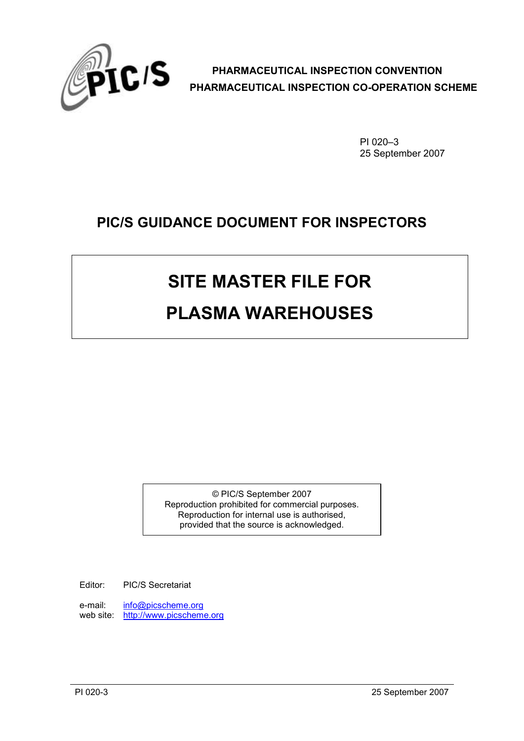

PI 020–3 25 September 2007

## **PIC/S GUIDANCE DOCUMENT FOR INSPECTORS**

# **SITE MASTER FILE FOR**

## **PLASMA WAREHOUSES**

© PIC/S September 2007 Reproduction prohibited for commercial purposes. Reproduction for internal use is authorised, provided that the source is acknowledged.

Editor: PIC/S Secretariat

e-mail: [info@picscheme.org](mailto:info@picscheme.org) web site: [http://www.picscheme.org](http://www.picscheme.org/)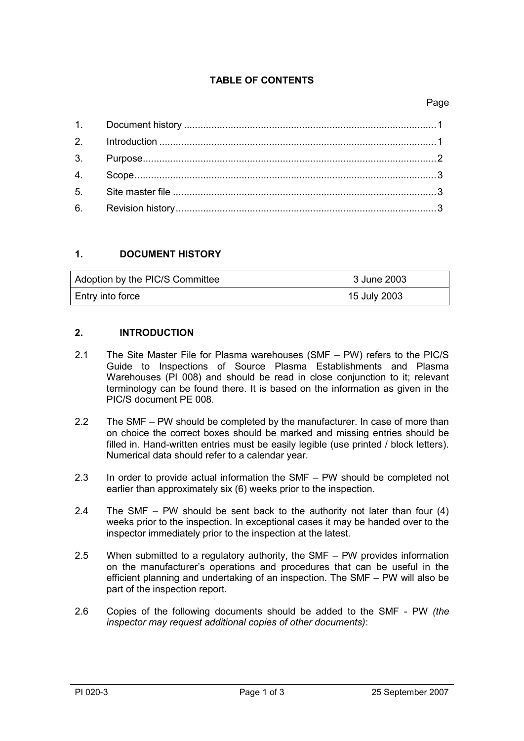#### **TABLE OF CONTENTS**

#### Page

#### <span id="page-1-0"></span>**1. DOCUMENT HISTORY**

| Adoption by the PIC/S Committee | 3 June 2003  |
|---------------------------------|--------------|
| Entry into force                | 15 July 2003 |

#### <span id="page-1-1"></span>**2. INTRODUCTION**

- 2.1 The Site Master File for Plasma warehouses (SMF PW) refers to the PIC/S Guide to Inspections of Source Plasma Establishments and Plasma Warehouses (PI 008) and should be read in close conjunction to it; relevant terminology can be found there. It is based on the information as given in the PIC/S document PE 008.
- 2.2 The SMF PW should be completed by the manufacturer. In case of more than on choice the correct boxes should be marked and missing entries should be filled in. Hand-written entries must be easily legible (use printed / block letters). Numerical data should refer to a calendar year.
- 2.3 In order to provide actual information the SMF PW should be completed not earlier than approximately six (6) weeks prior to the inspection.
- 2.4 The SMF PW should be sent back to the authority not later than four (4) weeks prior to the inspection. In exceptional cases it may be handed over to the inspector immediately prior to the inspection at the latest.
- 2.5 When submitted to a regulatory authority, the SMF PW provides information on the manufacturer's operations and procedures that can be useful in the efficient planning and undertaking of an inspection. The SMF – PW will also be part of the inspection report.
- 2.6 Copies of the following documents should be added to the SMF PW *(the inspector may request additional copies of other documents)*: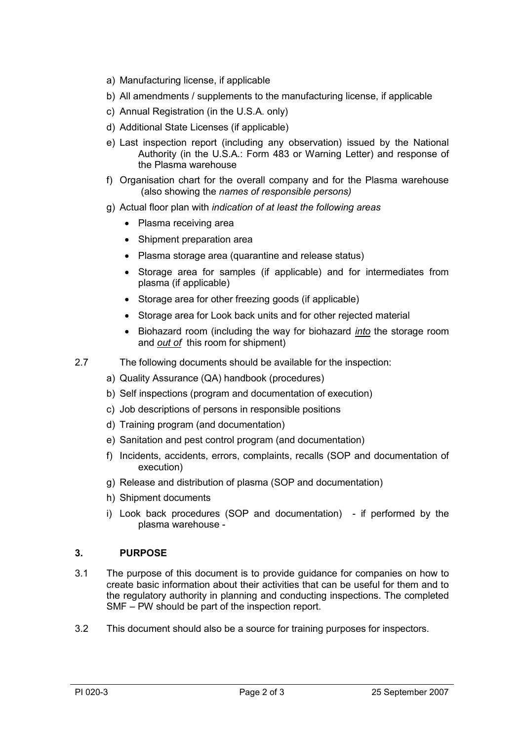- a) Manufacturing license, if applicable
- b) All amendments / supplements to the manufacturing license, if applicable
- c) Annual Registration (in the U.S.A. only)
- d) Additional State Licenses (if applicable)
- e) Last inspection report (including any observation) issued by the National Authority (in the U.S.A.: Form 483 or Warning Letter) and response of the Plasma warehouse
- f) Organisation chart for the overall company and for the Plasma warehouse (also showing the *names of responsible persons)*
- g) Actual floor plan with *indication of at least the following areas*
	- Plasma receiving area
	- Shipment preparation area
	- Plasma storage area (quarantine and release status)
	- Storage area for samples (if applicable) and for intermediates from plasma (if applicable)
	- Storage area for other freezing goods (if applicable)
	- Storage area for Look back units and for other rejected material
	- Biohazard room (including the way for biohazard *into* the storage room and *out of* this room for shipment)
- 2.7 The following documents should be available for the inspection:
	- a) Quality Assurance (QA) handbook (procedures)
	- b) Self inspections (program and documentation of execution)
	- c) Job descriptions of persons in responsible positions
	- d) Training program (and documentation)
	- e) Sanitation and pest control program (and documentation)
	- f) Incidents, accidents, errors, complaints, recalls (SOP and documentation of execution)
	- g) Release and distribution of plasma (SOP and documentation)
	- h) Shipment documents
	- i) Look back procedures (SOP and documentation) if performed by the plasma warehouse -

#### <span id="page-2-0"></span>**3. PURPOSE**

- 3.1 The purpose of this document is to provide guidance for companies on how to create basic information about their activities that can be useful for them and to the regulatory authority in planning and conducting inspections. The completed SMF – PW should be part of the inspection report.
- <span id="page-2-1"></span>3.2 This document should also be a source for training purposes for inspectors.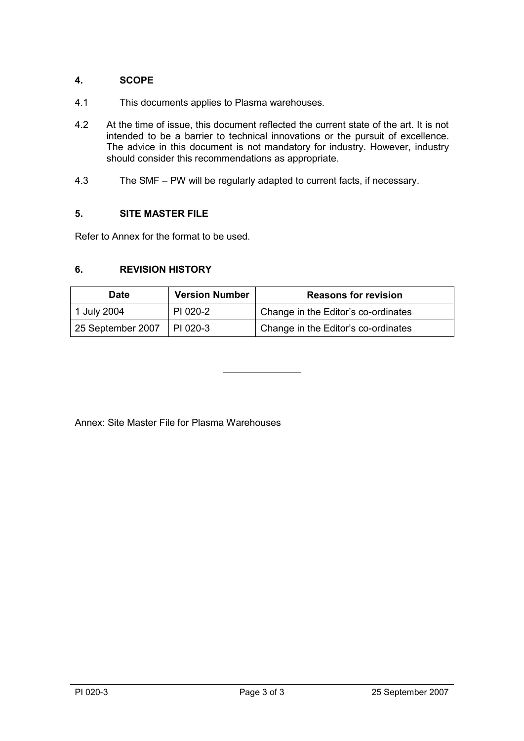#### **4. SCOPE**

- 4.1 This documents applies to Plasma warehouses.
- 4.2 At the time of issue, this document reflected the current state of the art. It is not intended to be a barrier to technical innovations or the pursuit of excellence. The advice in this document is not mandatory for industry. However, industry should consider this recommendations as appropriate.
- 4.3 The SMF PW will be regularly adapted to current facts, if necessary.

#### <span id="page-3-0"></span>**5. SITE MASTER FILE**

Refer to Annex for the format to be used.

#### <span id="page-3-1"></span>**6. REVISION HISTORY**

| <b>Date</b>       | <b>Version Number</b> | <b>Reasons for revision</b>         |
|-------------------|-----------------------|-------------------------------------|
| 1 July 2004       | PI 020-2              | Change in the Editor's co-ordinates |
| 25 September 2007 | I PI 020-3            | Change in the Editor's co-ordinates |

Annex: Site Master File for Plasma Warehouses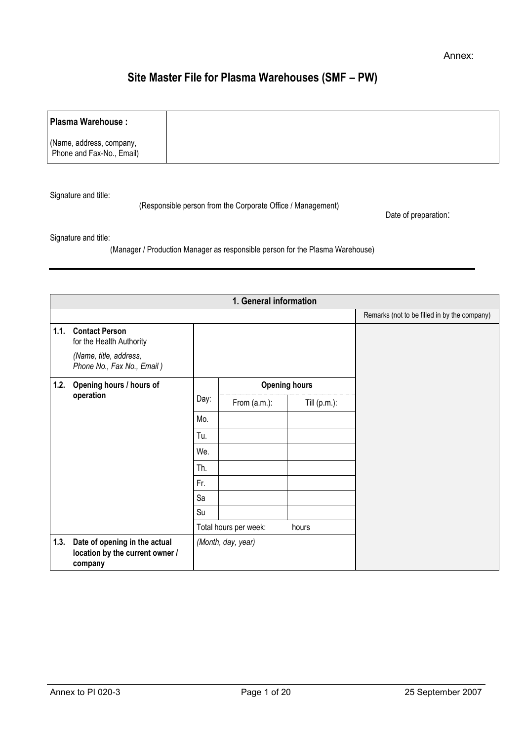### **Site Master File for Plasma Warehouses (SMF – PW)**

| Plasma Warehouse :                                    |  |
|-------------------------------------------------------|--|
| (Name, address, company,<br>Phone and Fax-No., Email) |  |

Signature and title:

(Responsible person from the Corporate Office / Management)

Date of preparation:

Signature and title:

(Manager / Production Manager as responsible person for the Plasma Warehouse)

|      |                                                                             |      | 1. General information |                      |                                              |
|------|-----------------------------------------------------------------------------|------|------------------------|----------------------|----------------------------------------------|
|      |                                                                             |      |                        |                      | Remarks (not to be filled in by the company) |
|      | 1.1. Contact Person<br>for the Health Authority                             |      |                        |                      |                                              |
|      | (Name, title, address,<br>Phone No., Fax No., Email)                        |      |                        |                      |                                              |
|      | 1.2. Opening hours / hours of                                               |      |                        | <b>Opening hours</b> |                                              |
|      | operation                                                                   | Day: | From $(a.m.):$         | Till $(p.m.)$ :      |                                              |
|      |                                                                             | Mo.  |                        |                      |                                              |
|      |                                                                             | Tu.  |                        |                      |                                              |
|      |                                                                             | We.  |                        |                      |                                              |
|      |                                                                             | Th.  |                        |                      |                                              |
|      |                                                                             | Fr.  |                        |                      |                                              |
|      |                                                                             | Sa   |                        |                      |                                              |
|      |                                                                             | Su   |                        |                      |                                              |
|      |                                                                             |      | Total hours per week:  | hours                |                                              |
| 1.3. | Date of opening in the actual<br>location by the current owner /<br>company |      | (Month, day, year)     |                      |                                              |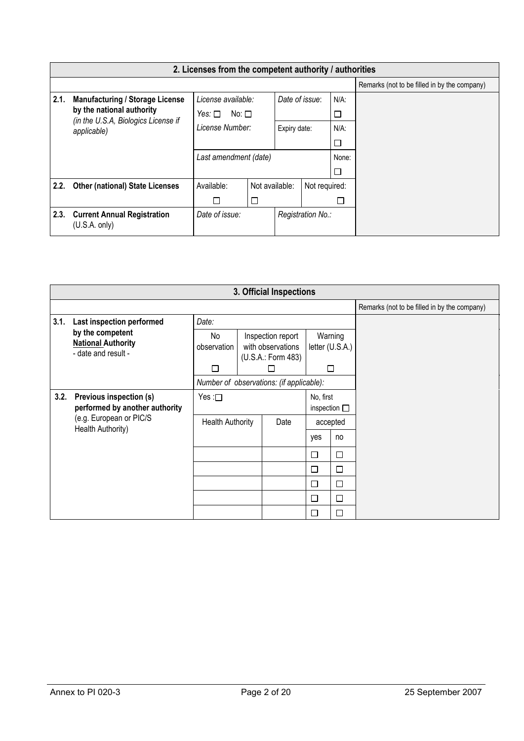|      | 2. Licenses from the competent authority / authorities           |                                              |                |                   |         |               |  |  |  |  |  |  |  |
|------|------------------------------------------------------------------|----------------------------------------------|----------------|-------------------|---------|---------------|--|--|--|--|--|--|--|
|      |                                                                  | Remarks (not to be filled in by the company) |                |                   |         |               |  |  |  |  |  |  |  |
| 2.1. | <b>Manufacturing / Storage License</b>                           | License available:                           | Date of issue: |                   | $N/A$ : |               |  |  |  |  |  |  |  |
|      | by the national authority<br>(in the U.S.A, Biologics License if | No: $\square$<br>Yes: $\Box$                 |                |                   |         | □             |  |  |  |  |  |  |  |
|      | applicable)                                                      | License Number:                              | Expiry date:   |                   | $N/A$ : |               |  |  |  |  |  |  |  |
|      |                                                                  |                                              |                |                   |         | $\Box$        |  |  |  |  |  |  |  |
|      |                                                                  | Last amendment (date)                        |                |                   |         | None:         |  |  |  |  |  |  |  |
|      |                                                                  |                                              |                |                   |         | $\Box$        |  |  |  |  |  |  |  |
| 2.2. | <b>Other (national) State Licenses</b>                           | Available:                                   |                | Not available:    |         | Not required: |  |  |  |  |  |  |  |
|      |                                                                  | П                                            | □              |                   | □       |               |  |  |  |  |  |  |  |
|      | 2.3. Current Annual Registration<br>(U.S.A. only)                | Date of issue:                               |                | Registration No.: |         |               |  |  |  |  |  |  |  |

| 3. Official Inspections |                                                                              |                                                                                   |  |                                          |                                   |        |                                              |  |  |  |  |  |
|-------------------------|------------------------------------------------------------------------------|-----------------------------------------------------------------------------------|--|------------------------------------------|-----------------------------------|--------|----------------------------------------------|--|--|--|--|--|
|                         |                                                                              |                                                                                   |  |                                          |                                   |        | Remarks (not to be filled in by the company) |  |  |  |  |  |
| 3.1.                    | Last inspection performed                                                    | Date:                                                                             |  |                                          |                                   |        |                                              |  |  |  |  |  |
|                         | by the competent<br><b>National Authority</b><br>- date and result -         | No<br>Inspection report<br>with observations<br>observation<br>(U.S.A.: Form 483) |  | Warning<br>letter (U.S.A.)               |                                   |        |                                              |  |  |  |  |  |
|                         |                                                                              | П                                                                                 |  | $\mathbf{L}$                             |                                   | □      |                                              |  |  |  |  |  |
|                         |                                                                              |                                                                                   |  | Number of observations: (if applicable): |                                   |        |                                              |  |  |  |  |  |
| 3.2.                    | Previous inspection (s)<br>Yes : $\square$<br>performed by another authority |                                                                                   |  |                                          | No, first<br>inspection $\square$ |        |                                              |  |  |  |  |  |
|                         | (e.g. European or PIC/S<br>Health Authority)                                 | <b>Health Authority</b>                                                           |  | Date                                     | accepted                          |        |                                              |  |  |  |  |  |
|                         |                                                                              |                                                                                   |  |                                          | yes                               | no     |                                              |  |  |  |  |  |
|                         |                                                                              |                                                                                   |  |                                          | □                                 | $\Box$ |                                              |  |  |  |  |  |
|                         |                                                                              |                                                                                   |  |                                          | □                                 | □      |                                              |  |  |  |  |  |
|                         |                                                                              |                                                                                   |  |                                          | □                                 | $\Box$ |                                              |  |  |  |  |  |
|                         |                                                                              |                                                                                   |  |                                          | □                                 | $\Box$ |                                              |  |  |  |  |  |
|                         |                                                                              |                                                                                   |  |                                          | □                                 | $\Box$ |                                              |  |  |  |  |  |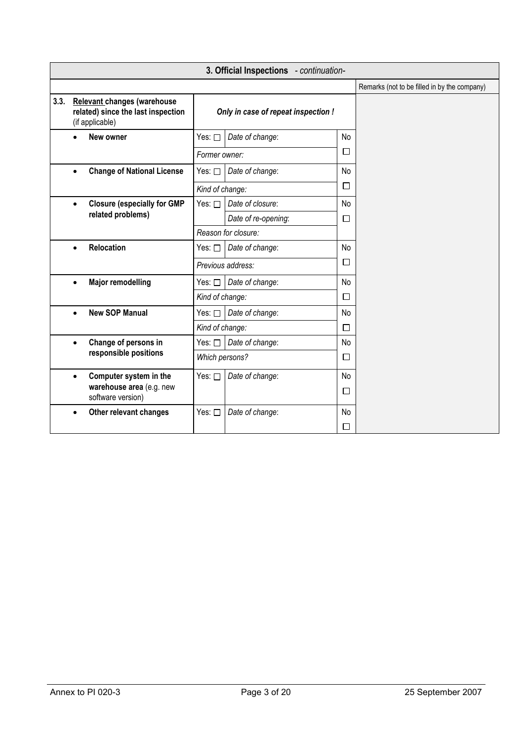|      | 3. Official Inspections - continuation-                                                     |                 |                                     |              |                                              |  |  |  |  |  |  |
|------|---------------------------------------------------------------------------------------------|-----------------|-------------------------------------|--------------|----------------------------------------------|--|--|--|--|--|--|
|      |                                                                                             |                 |                                     |              | Remarks (not to be filled in by the company) |  |  |  |  |  |  |
| 3.3. | <b>Relevant changes (warehouse</b><br>related) since the last inspection<br>(if applicable) |                 | Only in case of repeat inspection ! |              |                                              |  |  |  |  |  |  |
|      | New owner                                                                                   | Yes: □          | Date of change:                     | No           |                                              |  |  |  |  |  |  |
|      |                                                                                             | Former owner:   |                                     | $\Box$       |                                              |  |  |  |  |  |  |
|      | <b>Change of National License</b><br>$\bullet$                                              | Yes: $\square$  | Date of change:                     | No           |                                              |  |  |  |  |  |  |
|      |                                                                                             | Kind of change: |                                     | □            |                                              |  |  |  |  |  |  |
|      | <b>Closure (especially for GMP</b><br>$\bullet$                                             | Yes: $\square$  | Date of closure:                    | No           |                                              |  |  |  |  |  |  |
|      | related problems)                                                                           |                 | Date of re-opening:                 | $\Box$       |                                              |  |  |  |  |  |  |
|      |                                                                                             |                 | Reason for closure:                 |              |                                              |  |  |  |  |  |  |
|      | <b>Relocation</b><br>$\bullet$                                                              | Yes: $\square$  | Date of change:                     | No           |                                              |  |  |  |  |  |  |
|      |                                                                                             |                 | Previous address:                   | □            |                                              |  |  |  |  |  |  |
|      | <b>Major remodelling</b><br>$\bullet$                                                       | Yes: $\square$  | Date of change:                     | No           |                                              |  |  |  |  |  |  |
|      |                                                                                             | Kind of change: |                                     | П            |                                              |  |  |  |  |  |  |
|      | <b>New SOP Manual</b><br>$\bullet$                                                          | Yes: □          | Date of change:                     | No           |                                              |  |  |  |  |  |  |
|      |                                                                                             | Kind of change: |                                     | $\Box$       |                                              |  |  |  |  |  |  |
|      | Change of persons in<br>$\bullet$                                                           | Yes: □          | Date of change:                     | No           |                                              |  |  |  |  |  |  |
|      | responsible positions                                                                       | Which persons?  |                                     | $\Box$       |                                              |  |  |  |  |  |  |
|      | Computer system in the<br>$\bullet$<br>warehouse area (e.g. new<br>software version)        | Yes: $\square$  | Date of change:                     | No<br>$\Box$ |                                              |  |  |  |  |  |  |
|      | Other relevant changes<br>$\bullet$                                                         | Yes: □          | Date of change:                     | No<br>□      |                                              |  |  |  |  |  |  |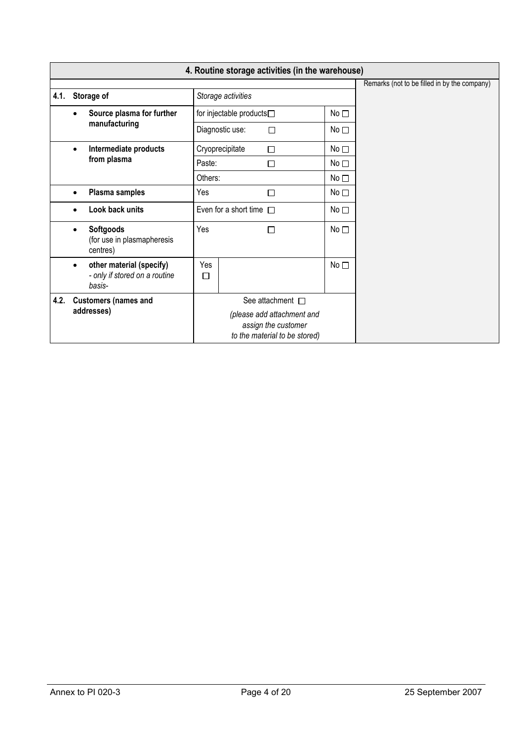|      | 4. Routine storage activities (in the warehouse)                                 |                 |                                              |                                                                                    |                 |  |  |  |  |  |  |  |
|------|----------------------------------------------------------------------------------|-----------------|----------------------------------------------|------------------------------------------------------------------------------------|-----------------|--|--|--|--|--|--|--|
|      |                                                                                  |                 | Remarks (not to be filled in by the company) |                                                                                    |                 |  |  |  |  |  |  |  |
| 4.1. | Storage of                                                                       |                 | Storage activities                           |                                                                                    |                 |  |  |  |  |  |  |  |
|      | Source plasma for further<br>$\bullet$                                           | No <sub>1</sub> |                                              |                                                                                    |                 |  |  |  |  |  |  |  |
|      | manufacturing                                                                    |                 | Diagnostic use:                              | $\Box$                                                                             | No <sub>1</sub> |  |  |  |  |  |  |  |
|      | Intermediate products<br>$\bullet$                                               | Cryoprecipitate | No <sub>1</sub>                              |                                                                                    |                 |  |  |  |  |  |  |  |
|      | from plasma                                                                      | Paste:          |                                              | □                                                                                  | No <sub>1</sub> |  |  |  |  |  |  |  |
|      |                                                                                  | Others:         |                                              |                                                                                    | No <sub>1</sub> |  |  |  |  |  |  |  |
|      | Plasma samples<br>٠                                                              | Yes             |                                              | □                                                                                  | No <sub>1</sub> |  |  |  |  |  |  |  |
|      | Look back units                                                                  |                 | Even for a short time $\Box$                 |                                                                                    | No <sub>1</sub> |  |  |  |  |  |  |  |
|      | <b>Softgoods</b><br>$\bullet$<br>(for use in plasmapheresis<br>centres)          | Yes             |                                              | П                                                                                  | No $\square$    |  |  |  |  |  |  |  |
|      | other material (specify)<br>$\bullet$<br>- only if stored on a routine<br>basis- | Yes<br>□        |                                              |                                                                                    | No <sub>1</sub> |  |  |  |  |  |  |  |
| 4.2. | <b>Customers (names and</b>                                                      |                 |                                              | See attachment $\square$                                                           |                 |  |  |  |  |  |  |  |
|      | addresses)                                                                       |                 |                                              | (please add attachment and<br>assign the customer<br>to the material to be stored) |                 |  |  |  |  |  |  |  |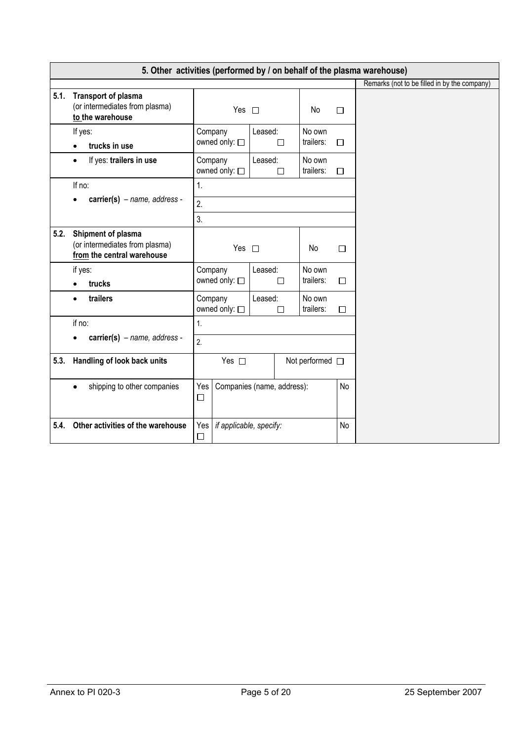|      | 5. Other activities (performed by / on behalf of the plasma warehouse)             |                                          |                            |                      |        |                                              |  |  |  |  |  |
|------|------------------------------------------------------------------------------------|------------------------------------------|----------------------------|----------------------|--------|----------------------------------------------|--|--|--|--|--|
|      |                                                                                    |                                          |                            |                      |        | Remarks (not to be filled in by the company) |  |  |  |  |  |
| 5.1. | <b>Transport of plasma</b><br>(or intermediates from plasma)<br>to the warehouse   |                                          | Yes $\square$              |                      |        |                                              |  |  |  |  |  |
|      | If yes:<br>trucks in use<br>$\bullet$                                              | Company<br>owned only: □                 | Leased:<br>П               | No own<br>trailers:  | $\Box$ |                                              |  |  |  |  |  |
|      | If yes: trailers in use<br>$\bullet$                                               | Company<br>owned only: 0                 | Leased:<br>$\Box$          |                      |        |                                              |  |  |  |  |  |
|      | If no:                                                                             | 1.                                       |                            |                      |        |                                              |  |  |  |  |  |
|      | $carrier(s)$ – name, address -                                                     | 2.                                       |                            |                      |        |                                              |  |  |  |  |  |
|      |                                                                                    | 3.                                       |                            |                      |        |                                              |  |  |  |  |  |
| 5.2. | Shipment of plasma<br>(or intermediates from plasma)<br>from the central warehouse | Yes $\square$                            |                            | No                   | $\Box$ |                                              |  |  |  |  |  |
|      | if yes:<br>trucks<br>$\bullet$                                                     | Company<br>owned only: □                 | Leased:<br>$\Box$          | No own<br>trailers:  | $\Box$ |                                              |  |  |  |  |  |
|      | trailers<br>$\bullet$                                                              | Company<br>owned only: □                 | Leased:<br>П               | No own<br>trailers:  | $\Box$ |                                              |  |  |  |  |  |
|      | if no:                                                                             | 1 <sub>1</sub>                           |                            |                      |        |                                              |  |  |  |  |  |
|      | $carrier(s)$ - name, address -                                                     | 2.                                       |                            |                      |        |                                              |  |  |  |  |  |
| 5.3. | Handling of look back units                                                        | Yes $\square$                            |                            | Not performed $\Box$ |        |                                              |  |  |  |  |  |
|      | shipping to other companies<br>$\bullet$                                           | Yes<br>$\Box$                            | Companies (name, address): |                      |        |                                              |  |  |  |  |  |
| 5.4. | Other activities of the warehouse                                                  | Yes<br>if applicable, specify:<br>$\Box$ |                            |                      | No     |                                              |  |  |  |  |  |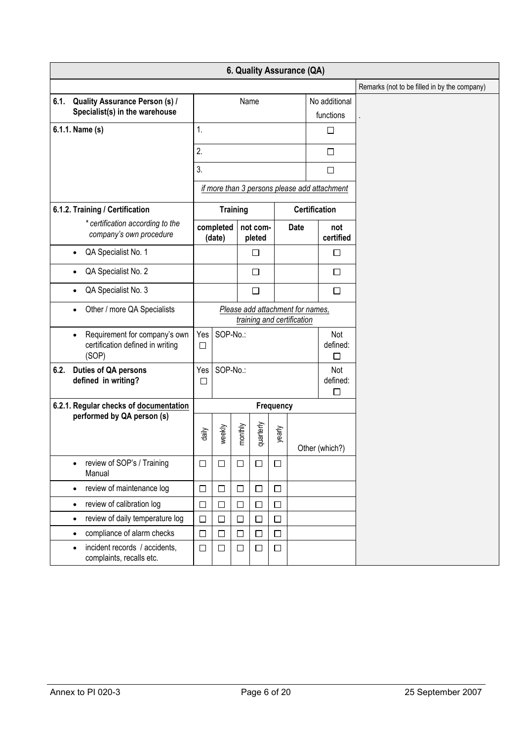|      |                                                                                         |               |                     |                 |                    |        |                                                                |  |                                              | Remarks (not to be filled in by the company) |
|------|-----------------------------------------------------------------------------------------|---------------|---------------------|-----------------|--------------------|--------|----------------------------------------------------------------|--|----------------------------------------------|----------------------------------------------|
| 6.1. | <b>Quality Assurance Person (s) /</b>                                                   |               |                     |                 | Name               |        |                                                                |  | No additional                                |                                              |
|      | Specialist(s) in the warehouse                                                          |               |                     |                 |                    |        |                                                                |  | functions                                    |                                              |
|      | 6.1.1. Name (s)                                                                         | 1.            |                     |                 |                    |        |                                                                |  | □                                            |                                              |
|      |                                                                                         | 2.            |                     |                 |                    |        |                                                                |  | $\Box$                                       |                                              |
|      |                                                                                         | 3.            |                     |                 |                    |        |                                                                |  | $\Box$                                       |                                              |
|      |                                                                                         |               |                     |                 |                    |        |                                                                |  | if more than 3 persons please add attachment |                                              |
|      | 6.1.2. Training / Certification                                                         |               |                     | <b>Training</b> |                    |        |                                                                |  | <b>Certification</b>                         |                                              |
|      | * certification according to the<br>company's own procedure                             |               | completed<br>(date) |                 | not com-<br>pleted |        | <b>Date</b>                                                    |  | not<br>certified                             |                                              |
|      | QA Specialist No. 1<br>$\bullet$                                                        |               |                     |                 | $\Box$             |        |                                                                |  | □                                            |                                              |
|      | QA Specialist No. 2<br>$\bullet$                                                        |               |                     |                 | $\Box$             |        |                                                                |  | □                                            |                                              |
|      | QA Specialist No. 3<br>$\bullet$                                                        |               |                     |                 | $\Box$             |        |                                                                |  | $\Box$                                       |                                              |
|      | Other / more QA Specialists<br>$\bullet$                                                |               |                     |                 |                    |        | Please add attachment for names,<br>training and certification |  |                                              |                                              |
|      | Requirement for company's own<br>$\bullet$<br>certification defined in writing<br>(SOP) | Yes<br>$\Box$ | SOP-No.:            |                 |                    |        |                                                                |  | Not<br>defined:<br>□                         |                                              |
| 6.2. | Duties of QA persons<br>defined in writing?                                             | Yes<br>$\Box$ | SOP-No.:            |                 |                    |        |                                                                |  | Not<br>defined:<br>$\Box$                    |                                              |
|      | 6.2.1. Regular checks of documentation                                                  | Frequency     |                     |                 |                    |        |                                                                |  |                                              |                                              |
|      | performed by QA person (s)                                                              | daily         | weekly              | monthly         | quarterly          | yearly | Other (which?)                                                 |  |                                              |                                              |
|      | review of SOP's / Training<br>$\bullet$<br>Manual                                       | $\Box$        | □                   | $\Box$          | $\Box$             | $\Box$ |                                                                |  |                                              |                                              |
|      | review of maintenance log<br>$\bullet$                                                  | $\Box$        | $\Box$              | $\Box$          | $\Box$             | □      |                                                                |  |                                              |                                              |
|      | review of calibration log<br>$\bullet$                                                  | $\Box$        | $\Box$              | $\Box$          | $\Box$             | □      |                                                                |  |                                              |                                              |
|      | review of daily temperature log<br>$\bullet$                                            | $\Box$        | □                   | $\Box$          | $\Box$             | $\Box$ |                                                                |  |                                              |                                              |
|      | compliance of alarm checks<br>$\bullet$                                                 | $\Box$        | $\Box$              | $\Box$          | $\Box$             | $\Box$ |                                                                |  |                                              |                                              |
|      | incident records / accidents,<br>$\bullet$<br>complaints, recalls etc.                  | $\Box$        | $\Box$              | $\Box$          | $\Box$             | $\Box$ |                                                                |  |                                              |                                              |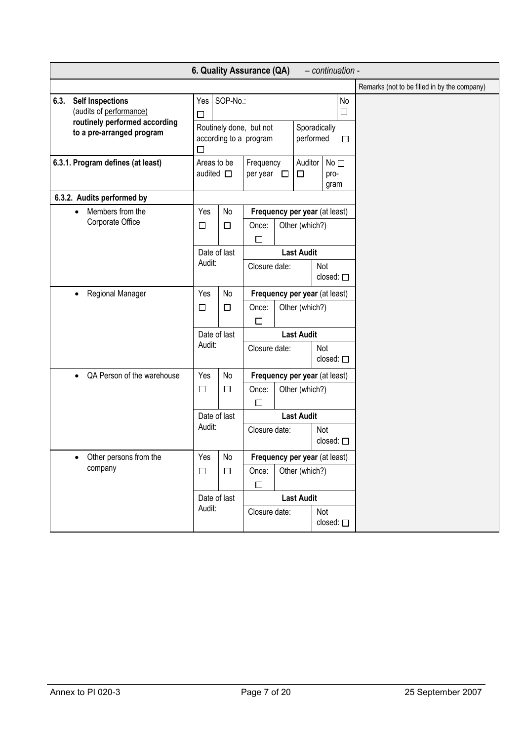|                                                                                                                          |                           |                                                                     | 6. Quality Assurance (QA)                                     |                                          |                          |                          | - continuation -        |  |  |  |  |  |
|--------------------------------------------------------------------------------------------------------------------------|---------------------------|---------------------------------------------------------------------|---------------------------------------------------------------|------------------------------------------|--------------------------|--------------------------|-------------------------|--|--|--|--|--|
|                                                                                                                          |                           |                                                                     |                                                               |                                          |                          |                          |                         |  |  |  |  |  |
| <b>Self Inspections</b><br>6.3.<br>(audits of performance)<br>routinely performed according<br>to a pre-arranged program | □                         | Yes SOP-No.:                                                        | Routinely done, but not<br>according to a program             | $\Box$<br>Sporadically<br>performed<br>П |                          |                          | No                      |  |  |  |  |  |
| 6.3.1. Program defines (at least)                                                                                        |                           | Areas to be<br>Frequency<br>audited $\square$<br>per year $\square$ |                                                               |                                          | Auditor<br>$\Box$        | pro-                     | No <sub>1</sub><br>gram |  |  |  |  |  |
| 6.3.2. Audits performed by                                                                                               |                           |                                                                     |                                                               |                                          |                          |                          |                         |  |  |  |  |  |
| Members from the<br>$\bullet$<br>Corporate Office                                                                        | Yes<br>□                  | No<br>$\Box$                                                        | Frequency per year (at least)<br>Other (which?)<br>Once:<br>□ |                                          |                          |                          |                         |  |  |  |  |  |
|                                                                                                                          | Date of last<br>Audit:    |                                                                     | Closure date:                                                 | <b>Last Audit</b>                        | Not<br>closed: $\square$ |                          |                         |  |  |  |  |  |
| Regional Manager<br>$\bullet$                                                                                            | Yes                       | No                                                                  |                                                               | Frequency per year (at least)            |                          |                          |                         |  |  |  |  |  |
|                                                                                                                          | $\Box$<br>Once:<br>□<br>П |                                                                     | Other (which?)                                                |                                          |                          |                          |                         |  |  |  |  |  |
|                                                                                                                          | Date of last              |                                                                     |                                                               |                                          | <b>Last Audit</b>        |                          |                         |  |  |  |  |  |
|                                                                                                                          | Audit:                    |                                                                     | Closure date:                                                 |                                          |                          | Not<br>closed: $\square$ |                         |  |  |  |  |  |
| QA Person of the warehouse                                                                                               | Yes                       | No                                                                  | Frequency per year (at least)                                 |                                          |                          |                          |                         |  |  |  |  |  |
|                                                                                                                          | $\Box$                    | $\Box$                                                              | Once:<br>□                                                    |                                          | Other (which?)           |                          |                         |  |  |  |  |  |
|                                                                                                                          | Date of last              |                                                                     |                                                               |                                          | <b>Last Audit</b>        |                          |                         |  |  |  |  |  |
|                                                                                                                          | Audit:                    |                                                                     | Closure date:                                                 |                                          |                          | Not<br>closed: $\square$ |                         |  |  |  |  |  |
| Other persons from the                                                                                                   | Yes                       | $\mathsf{No}$                                                       | Frequency per year (at least)                                 |                                          |                          |                          |                         |  |  |  |  |  |
| company                                                                                                                  | $\Box$                    | $\Box$                                                              | Once:<br>$\Box$                                               |                                          | Other (which?)           |                          |                         |  |  |  |  |  |
|                                                                                                                          | Date of last              |                                                                     |                                                               |                                          | <b>Last Audit</b>        |                          |                         |  |  |  |  |  |
|                                                                                                                          |                           | Audit:                                                              |                                                               | Closure date:                            |                          |                          | closed: $\square$       |  |  |  |  |  |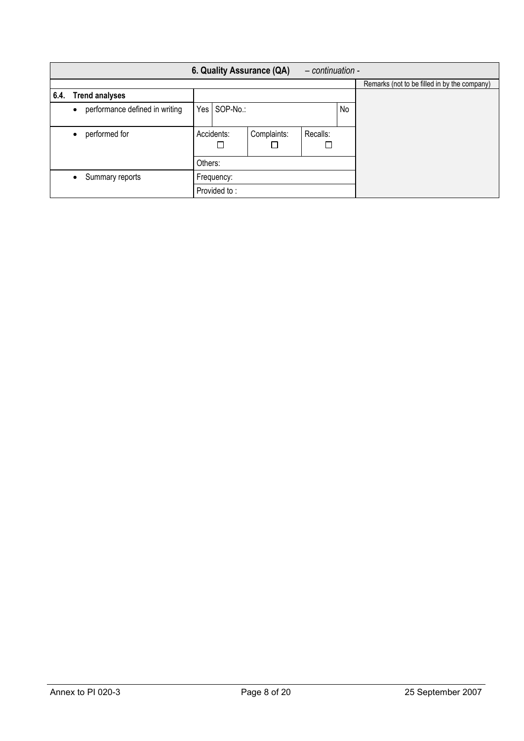|      |                                             |         |                 | 6. Quality Assurance (QA) | $-$ continuation - |    |                                              |
|------|---------------------------------------------|---------|-----------------|---------------------------|--------------------|----|----------------------------------------------|
|      |                                             |         |                 |                           |                    |    | Remarks (not to be filled in by the company) |
| 6.4. | <b>Trend analyses</b>                       |         |                 |                           |                    |    |                                              |
|      | performance defined in writing<br>$\bullet$ | Yes     | SOP-No.:        |                           |                    | No |                                              |
|      | performed for                               |         | Accidents:<br>⊔ | Complaints:               | Recalls:<br>$\Box$ |    |                                              |
|      |                                             | Others: |                 |                           |                    |    |                                              |
|      | Summary reports                             |         | Frequency:      |                           |                    |    |                                              |
|      |                                             |         | Provided to:    |                           |                    |    |                                              |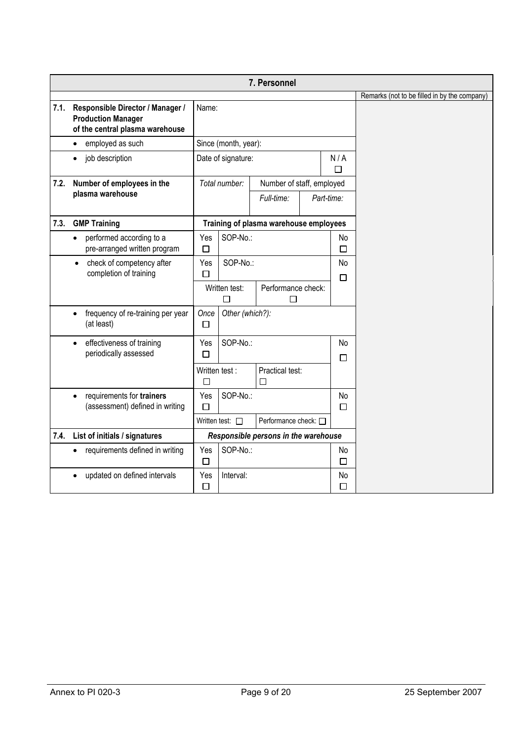|      |                                                                                                  |                    |                         | 7. Personnel                           |  |               |                                              |
|------|--------------------------------------------------------------------------------------------------|--------------------|-------------------------|----------------------------------------|--|---------------|----------------------------------------------|
|      |                                                                                                  |                    |                         |                                        |  |               | Remarks (not to be filled in by the company) |
| 7.1. | Responsible Director / Manager /<br><b>Production Manager</b><br>of the central plasma warehouse | Name:              |                         |                                        |  |               |                                              |
|      | employed as such                                                                                 |                    | Since (month, year):    |                                        |  |               |                                              |
|      | job description                                                                                  |                    | Date of signature:      |                                        |  |               |                                              |
| 7.2. | Number of employees in the                                                                       |                    | Total number:           | Number of staff, employed              |  |               |                                              |
|      | plasma warehouse                                                                                 |                    |                         | Full-time:                             |  | Part-time:    |                                              |
| 7.3. | <b>GMP Training</b>                                                                              |                    |                         | Training of plasma warehouse employees |  |               |                                              |
|      | performed according to a<br>$\bullet$<br>pre-arranged written program                            | Yes<br>$\Box$      | SOP-No.:                |                                        |  | No<br>$\Box$  |                                              |
|      | check of competency after<br>$\bullet$<br>completion of training                                 | Yes<br>□           | SOP-No.:                |                                        |  | No<br>$\Box$  |                                              |
|      |                                                                                                  |                    | Written test:<br>$\Box$ | Performance check:<br>П                |  |               |                                              |
|      | frequency of re-training per year<br>$\bullet$<br>(at least)                                     | Once<br>□          | Other (which?):         |                                        |  |               |                                              |
|      | effectiveness of training<br>$\bullet$<br>periodically assessed                                  | Yes<br>□           | SOP-No.:                |                                        |  | No<br>□       |                                              |
|      |                                                                                                  | Written test:<br>П |                         | Practical test:<br>П                   |  |               |                                              |
|      | requirements for trainers<br>$\bullet$<br>(assessment) defined in writing                        | Yes<br>П           | SOP-No.:                |                                        |  | No<br>$\Box$  |                                              |
|      |                                                                                                  |                    | Written test: $\square$ | Performance check: □                   |  |               |                                              |
| 7.4. | List of initials / signatures                                                                    |                    |                         | Responsible persons in the warehouse   |  |               |                                              |
|      | requirements defined in writing<br>$\bullet$                                                     | Yes<br>$\Box$      | SOP-No.:                |                                        |  | No.<br>$\Box$ |                                              |
|      | updated on defined intervals                                                                     | Yes<br>□           | Interval:               |                                        |  | No<br>□       |                                              |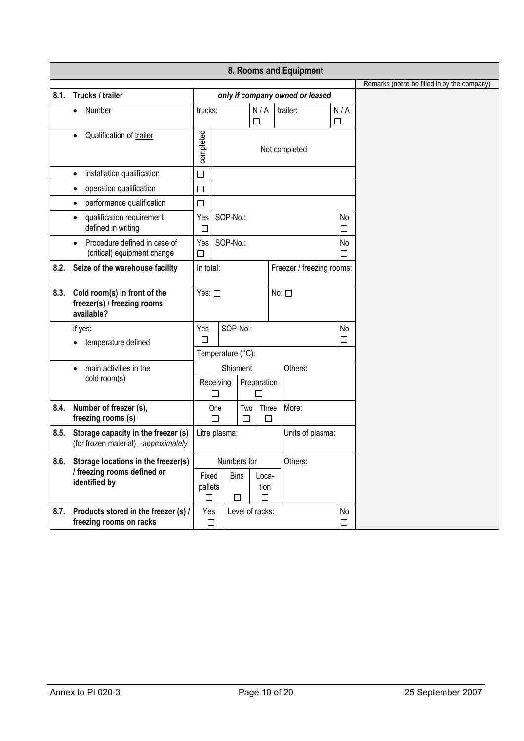|      |                                                                                          |                       |                                      |               |                  |  |                                 |               | Remarks (not to be filled in by the company) |
|------|------------------------------------------------------------------------------------------|-----------------------|--------------------------------------|---------------|------------------|--|---------------------------------|---------------|----------------------------------------------|
| 8.1. | Trucks / trailer                                                                         |                       |                                      |               |                  |  | only if company owned or leased |               |                                              |
|      | Number<br>$\bullet$                                                                      | trucks:               |                                      |               | N/A<br>□         |  | trailer:                        | N/A<br>$\Box$ |                                              |
|      | Qualification of trailer                                                                 | completed             |                                      |               |                  |  | Not completed                   |               |                                              |
|      | installation qualification<br>$\bullet$                                                  | □                     |                                      |               |                  |  |                                 |               |                                              |
|      | operation qualification<br>٠                                                             | $\Box$                |                                      |               |                  |  |                                 |               |                                              |
|      | performance qualification<br>$\bullet$                                                   | $\Box$                |                                      |               |                  |  |                                 |               |                                              |
|      | qualification requirement<br>defined in writing                                          | Yes<br>□              | SOP-No.:                             |               |                  |  |                                 | No<br>□       |                                              |
|      | Procedure defined in case of<br>$\bullet$<br>(critical) equipment change                 | $Yes$ $ $<br>□        | SOP-No.:                             |               |                  |  |                                 | No<br>$\Box$  |                                              |
| 8.2. | Seize of the warehouse facility                                                          |                       | In total:                            |               |                  |  | Freezer / freezing rooms:       |               |                                              |
| 8.3. | Cold room(s) in front of the<br>freezer(s) / freezing rooms<br>available?                |                       | Yes: $\square$                       |               |                  |  | No: $\square$                   |               |                                              |
|      | if yes:<br>temperature defined                                                           | Yes<br>□              |                                      | SOP-No.:      |                  |  |                                 | No<br>□       |                                              |
|      |                                                                                          |                       | Temperature (°C):                    |               |                  |  |                                 |               |                                              |
|      | main activities in the<br>$\bullet$                                                      |                       |                                      | Shipment      |                  |  | Others:                         |               |                                              |
|      | cold room(s)                                                                             |                       | Receiving<br>□                       |               | Preparation<br>П |  |                                 |               |                                              |
| 8.4. | Number of freezer (s),<br>freezing rooms (s)                                             |                       | One<br>$\Box$                        | Two<br>$\Box$ | Three<br>$\Box$  |  | More:                           |               |                                              |
| 8.5. | Storage capacity in the freezer (s)<br>(for frozen material) -approximately              |                       | Litre plasma:                        |               |                  |  | Units of plasma:                |               |                                              |
|      | 8.6. Storage locations in the freezer(s)<br>/ freezing rooms defined or<br>identified by | Fixed<br>pallets<br>□ | Numbers for<br><b>Bins</b><br>□<br>□ |               | Loca-<br>tion    |  | Others:                         |               |                                              |
| 8.7. | Products stored in the freezer (s) /<br>freezing rooms on racks                          | Yes<br>$\Box$         |                                      |               | Level of racks:  |  |                                 | No<br>$\Box$  |                                              |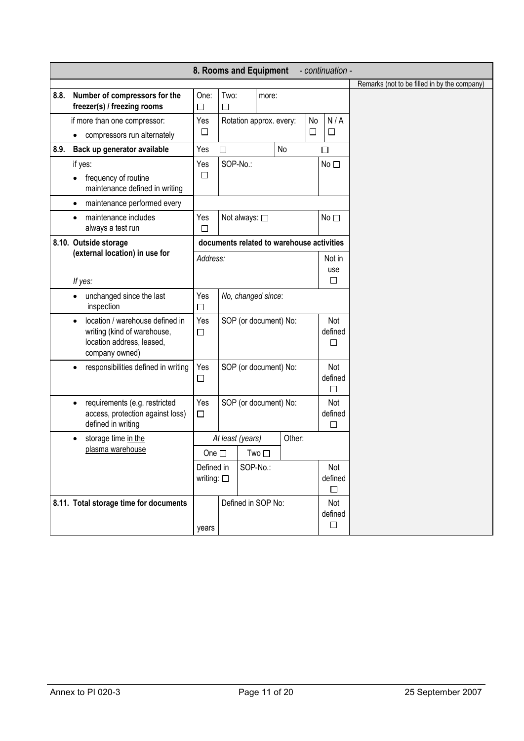|      | 8. Rooms and Equipment                                                                                                     | - continuation -                 |                         |                                                          |                       |                                           |                          |                          |                                              |
|------|----------------------------------------------------------------------------------------------------------------------------|----------------------------------|-------------------------|----------------------------------------------------------|-----------------------|-------------------------------------------|--------------------------|--------------------------|----------------------------------------------|
|      |                                                                                                                            |                                  |                         |                                                          |                       |                                           |                          |                          | Remarks (not to be filled in by the company) |
| 8.8. | Number of compressors for the<br>freezer(s) / freezing rooms                                                               | One:<br>$\Box$                   | Two:<br>$\Box$          |                                                          | more:                 |                                           |                          |                          |                                              |
|      | if more than one compressor:<br>compressors run alternately                                                                | Yes<br>□                         |                         | N/A<br>No<br>Rotation approx. every:<br>$\Box$<br>$\Box$ |                       |                                           |                          |                          |                                              |
| 8.9. | Back up generator available                                                                                                | Yes                              | $\Box$                  | No<br>□                                                  |                       |                                           |                          |                          |                                              |
|      | if yes:<br>frequency of routine<br>maintenance defined in writing                                                          | Yes<br>$\Box$                    |                         | SOP-No.:<br>No                                           |                       |                                           |                          |                          |                                              |
|      | maintenance performed every<br>$\bullet$                                                                                   |                                  |                         |                                                          |                       |                                           |                          |                          |                                              |
|      | maintenance includes<br>always a test run                                                                                  | Yes<br>□                         |                         | Not always: □<br>No <sub>1</sub>                         |                       |                                           |                          |                          |                                              |
|      | 8.10. Outside storage                                                                                                      |                                  |                         |                                                          |                       | documents related to warehouse activities |                          |                          |                                              |
|      | (external location) in use for<br>If yes:                                                                                  | Address:                         | Not in<br>use<br>$\Box$ |                                                          |                       |                                           |                          |                          |                                              |
|      | unchanged since the last<br>$\bullet$<br>inspection                                                                        | Yes<br>$\Box$                    | No, changed since:      |                                                          |                       |                                           |                          |                          |                                              |
|      | location / warehouse defined in<br>$\bullet$<br>writing (kind of warehouse,<br>location address, leased,<br>company owned) | Yes<br>$\Box$                    |                         |                                                          | SOP (or document) No: |                                           |                          | Not<br>defined<br>□      |                                              |
|      | responsibilities defined in writing                                                                                        | Yes<br>$\Box$                    |                         |                                                          | SOP (or document) No: |                                           |                          | Not<br>defined<br>П      |                                              |
|      | requirements (e.g. restricted<br>$\bullet$<br>access, protection against loss)<br>defined in writing                       | Yes<br>$\Box$                    | SOP (or document) No:   |                                                          |                       |                                           |                          | Not<br>defined<br>П      |                                              |
|      | storage time in the<br>$\bullet$                                                                                           |                                  | At least (years)        |                                                          |                       | Other:                                    |                          |                          |                                              |
|      | plasma warehouse                                                                                                           | One $\square$                    |                         |                                                          | $Two \Box$            |                                           |                          |                          |                                              |
|      |                                                                                                                            | Defined in<br>writing: $\square$ | SOP-No.:                |                                                          |                       |                                           | Not<br>defined<br>$\Box$ |                          |                                              |
|      | 8.11. Total storage time for documents                                                                                     |                                  | Defined in SOP No:      |                                                          |                       |                                           |                          | Not<br>defined<br>$\Box$ |                                              |
|      |                                                                                                                            | years                            |                         |                                                          |                       |                                           |                          |                          |                                              |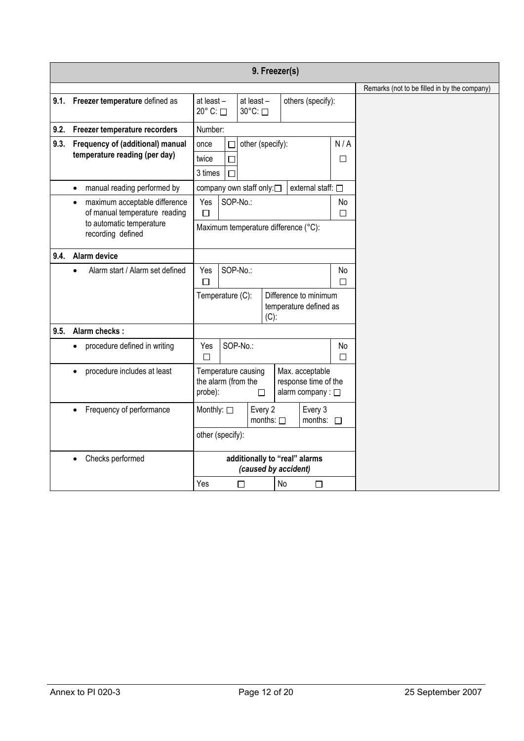|      |                                                           |                                                                                                                                    |                               | 9. Freezer(s)        |                   |                                                 |         |                                              |
|------|-----------------------------------------------------------|------------------------------------------------------------------------------------------------------------------------------------|-------------------------------|----------------------|-------------------|-------------------------------------------------|---------|----------------------------------------------|
|      |                                                           |                                                                                                                                    |                               |                      |                   |                                                 |         | Remarks (not to be filled in by the company) |
|      | 9.1. Freezer temperature defined as                       | at least-<br>20° C: □                                                                                                              | at least -<br>30°C: □         |                      | others (specify): |                                                 |         |                                              |
| 9.2. | Freezer temperature recorders                             | Number:                                                                                                                            |                               |                      |                   |                                                 |         |                                              |
| 9.3. | Frequency of (additional) manual                          | once                                                                                                                               | □                             | other (specify):     |                   |                                                 | N/A     |                                              |
|      | temperature reading (per day)                             | twice<br>$\Box$                                                                                                                    |                               |                      |                   |                                                 | □       |                                              |
|      |                                                           | 3 times<br>П                                                                                                                       |                               |                      |                   |                                                 |         |                                              |
|      | manual reading performed by<br>$\bullet$                  | company own staff only:□<br>external staff: □                                                                                      |                               |                      |                   |                                                 |         |                                              |
|      | maximum acceptable difference<br>$\bullet$                | Yes                                                                                                                                | SOP-No.:                      |                      |                   |                                                 | No      |                                              |
|      | of manual temperature reading<br>to automatic temperature | $\Box$                                                                                                                             |                               |                      |                   |                                                 | $\Box$  |                                              |
|      | recording defined                                         | Maximum temperature difference (°C):                                                                                               |                               |                      |                   |                                                 |         |                                              |
| 9.4. | Alarm device                                              |                                                                                                                                    |                               |                      |                   |                                                 |         |                                              |
|      | Alarm start / Alarm set defined<br>$\bullet$              | SOP-No.:<br>Yes<br>□                                                                                                               |                               |                      |                   |                                                 | No<br>П |                                              |
|      |                                                           | Temperature (C):                                                                                                                   |                               | $(C)$ :              |                   | Difference to minimum<br>temperature defined as |         |                                              |
| 9.5. | Alarm checks:                                             |                                                                                                                                    |                               |                      |                   |                                                 |         |                                              |
|      | procedure defined in writing<br>$\bullet$                 | Yes<br>П                                                                                                                           | SOP-No.:                      |                      |                   |                                                 | No<br>П |                                              |
|      | procedure includes at least<br>$\bullet$                  | Max. acceptable<br>Temperature causing<br>the alarm (from the<br>response time of the<br>alarm company : $\square$<br>probe):<br>□ |                               |                      |                   |                                                 |         |                                              |
|      | Frequency of performance<br>$\bullet$                     | Monthly: $\square$<br>Every 2<br>months: $\square$                                                                                 |                               |                      |                   | Every 3<br>months: $\square$                    |         |                                              |
|      |                                                           | other (specify):                                                                                                                   |                               |                      |                   |                                                 |         |                                              |
|      | Checks performed                                          |                                                                                                                                    | additionally to "real" alarms | (caused by accident) |                   |                                                 |         |                                              |
|      |                                                           | Yes                                                                                                                                | $\Box$                        |                      | No                | $\Box$                                          |         |                                              |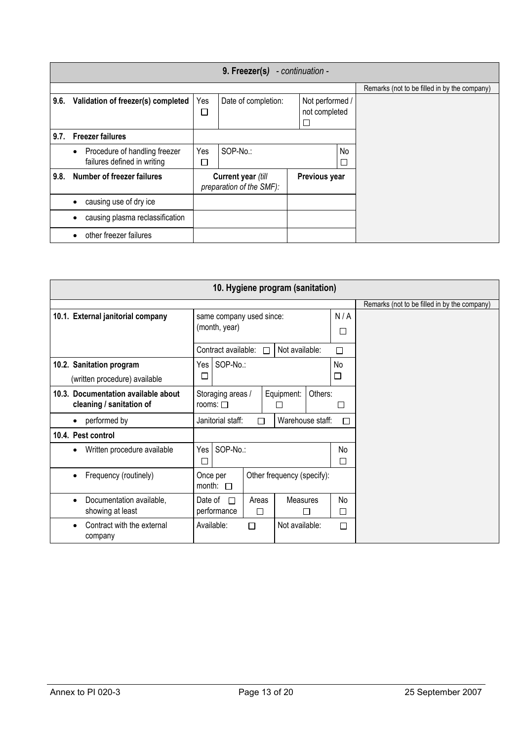|      |                                            |                                                | 9. Freezer(s)       |  | - continuation - |                          |                                              |
|------|--------------------------------------------|------------------------------------------------|---------------------|--|------------------|--------------------------|----------------------------------------------|
|      |                                            |                                                |                     |  |                  |                          | Remarks (not to be filled in by the company) |
| 9.6. | Validation of freezer(s) completed         | Yes                                            | Date of completion: |  | Not performed /  |                          |                                              |
|      |                                            | $\Box$                                         |                     |  | not completed    |                          |                                              |
|      |                                            |                                                |                     |  | $\Box$           |                          |                                              |
|      | 9.7. Freezer failures                      |                                                |                     |  |                  |                          |                                              |
|      | Procedure of handling freezer<br>$\bullet$ | Yes                                            | SOP-No.:            |  |                  | No                       |                                              |
|      | failures defined in writing                | $\Box$                                         |                     |  |                  | $\overline{\phantom{a}}$ |                                              |
| 9.8. | Number of freezer failures                 | Current year (till<br>preparation of the SMF): |                     |  | Previous year    |                          |                                              |
|      | causing use of dry ice                     |                                                |                     |  |                  |                          |                                              |
|      | causing plasma reclassification            |                                                |                     |  |                  |                          |                                              |
|      | other freezer failures                     |                                                |                     |  |                  |                          |                                              |

|                                                                 | 10. Hygiene program (sanitation)          |            |                            |         |               |                                              |  |  |  |  |  |
|-----------------------------------------------------------------|-------------------------------------------|------------|----------------------------|---------|---------------|----------------------------------------------|--|--|--|--|--|
|                                                                 |                                           |            |                            |         |               | Remarks (not to be filled in by the company) |  |  |  |  |  |
| 10.1. External janitorial company                               | same company used since:<br>(month, year) |            |                            |         | N/A<br>$\Box$ |                                              |  |  |  |  |  |
|                                                                 | Contract available:                       |            | Not available:             |         | □             |                                              |  |  |  |  |  |
| 10.2. Sanitation program<br>(written procedure) available       | SOP-No.:<br>Yes<br>$\Box$                 |            |                            |         |               |                                              |  |  |  |  |  |
| 10.3. Documentation available about<br>cleaning / sanitation of | Storaging areas /<br>rooms: $\Box$        |            | Equipment:                 | Others: | □             |                                              |  |  |  |  |  |
| performed by<br>$\bullet$                                       | Janitorial staff:                         | П          | Warehouse staff:           |         | П             |                                              |  |  |  |  |  |
| 10.4. Pest control                                              |                                           |            |                            |         |               |                                              |  |  |  |  |  |
| Written procedure available<br>$\bullet$                        | SOP-No.:<br>Yes<br>I.                     |            |                            |         | No<br>П       |                                              |  |  |  |  |  |
| Frequency (routinely)<br>$\bullet$                              | Once per<br>month:<br>$\Box$              |            | Other frequency (specify): |         |               |                                              |  |  |  |  |  |
| Documentation available,<br>$\bullet$<br>showing at least       | Date of<br>$\Box$<br>performance          | Areas<br>П | Measures<br>П              |         | No<br>□       |                                              |  |  |  |  |  |
| Contract with the external<br>$\bullet$<br>company              | Available:                                | П          | Not available:             |         | П             |                                              |  |  |  |  |  |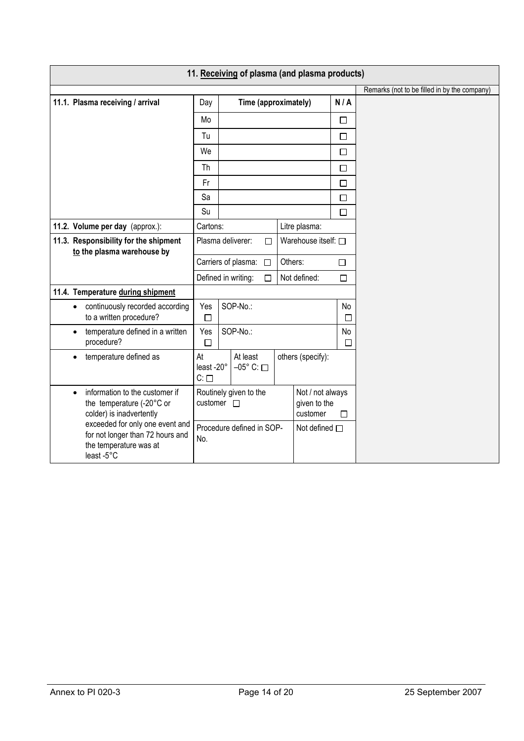| 11. Receiving of plasma (and plasma products)                                                               |                                              |                                   |                             |  |                                              |         |                                              |  |  |  |
|-------------------------------------------------------------------------------------------------------------|----------------------------------------------|-----------------------------------|-----------------------------|--|----------------------------------------------|---------|----------------------------------------------|--|--|--|
|                                                                                                             |                                              |                                   |                             |  |                                              |         | Remarks (not to be filled in by the company) |  |  |  |
| 11.1. Plasma receiving / arrival                                                                            | Day                                          |                                   | Time (approximately)        |  |                                              | N/A     |                                              |  |  |  |
|                                                                                                             | Mo                                           |                                   |                             |  |                                              | $\Box$  |                                              |  |  |  |
|                                                                                                             | Tu                                           |                                   |                             |  |                                              | $\Box$  |                                              |  |  |  |
|                                                                                                             | We                                           |                                   |                             |  |                                              | $\Box$  |                                              |  |  |  |
|                                                                                                             | Th                                           |                                   |                             |  |                                              | П       |                                              |  |  |  |
|                                                                                                             | Fr                                           |                                   |                             |  |                                              | П       |                                              |  |  |  |
|                                                                                                             | Sa                                           |                                   |                             |  |                                              | П       |                                              |  |  |  |
|                                                                                                             | Su                                           |                                   |                             |  |                                              | $\Box$  |                                              |  |  |  |
| 11.2. Volume per day (approx.):                                                                             | Cartons:                                     |                                   |                             |  | Litre plasma:                                |         |                                              |  |  |  |
| 11.3. Responsibility for the shipment<br>to the plasma warehouse by                                         |                                              |                                   | Plasma deliverer:<br>$\Box$ |  | Warehouse itself: □                          |         |                                              |  |  |  |
|                                                                                                             | Carriers of plasma: □                        |                                   |                             |  | Others:<br>П                                 |         |                                              |  |  |  |
|                                                                                                             |                                              |                                   | Defined in writing:         |  | Not defined:<br>П                            |         |                                              |  |  |  |
| 11.4. Temperature during shipment                                                                           |                                              |                                   |                             |  |                                              |         |                                              |  |  |  |
| continuously recorded according<br>$\bullet$<br>to a written procedure?                                     | Yes<br>$\Box$                                |                                   | SOP-No.:                    |  |                                              | No<br>П |                                              |  |  |  |
| temperature defined in a written<br>$\bullet$<br>procedure?                                                 | Yes<br>$\Box$                                |                                   | SOP-No.:                    |  |                                              | No<br>П |                                              |  |  |  |
| temperature defined as                                                                                      | At<br>least -20°<br>$C: \Box$                | At least<br>$-05^\circ$ C: $\Box$ |                             |  | others (specify):                            |         |                                              |  |  |  |
| information to the customer if<br>$\bullet$<br>the temperature (-20°C or<br>colder) is inadvertently        | Routinely given to the<br>customer $\square$ |                                   |                             |  | Not / not always<br>given to the<br>customer | □       |                                              |  |  |  |
| exceeded for only one event and<br>for not longer than 72 hours and<br>the temperature was at<br>least -5°C |                                              |                                   | Procedure defined in SOP-   |  | Not defined $\square$                        |         |                                              |  |  |  |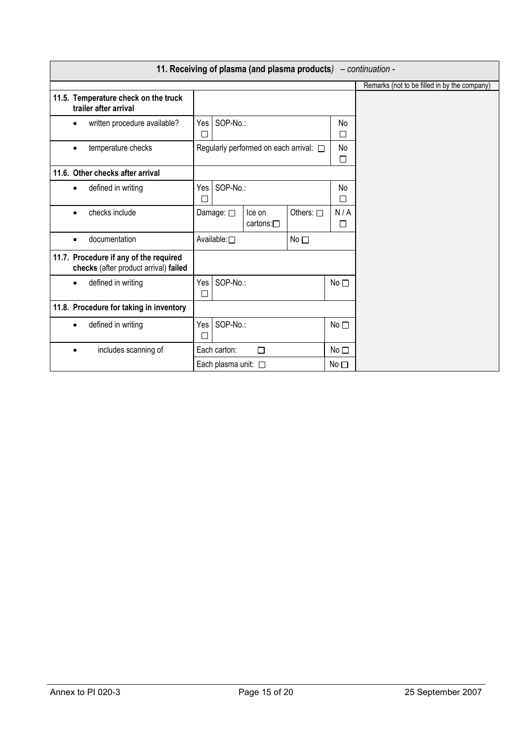|                                                                                 |                                                                     |                             | 11. Receiving of plasma (and plasma products) $-$ continuation - |                 |                 |                                              |
|---------------------------------------------------------------------------------|---------------------------------------------------------------------|-----------------------------|------------------------------------------------------------------|-----------------|-----------------|----------------------------------------------|
|                                                                                 |                                                                     |                             |                                                                  |                 |                 | Remarks (not to be filled in by the company) |
| 11.5. Temperature check on the truck<br>trailer after arrival                   |                                                                     |                             |                                                                  |                 |                 |                                              |
| written procedure available?<br>$\bullet$                                       | Yes<br>$\Box$                                                       | SOP-No.:                    |                                                                  |                 |                 |                                              |
| temperature checks<br>$\bullet$                                                 |                                                                     |                             | Regularly performed on each arrival: $\Box$                      |                 |                 |                                              |
| 11.6. Other checks after arrival                                                |                                                                     |                             |                                                                  |                 |                 |                                              |
| defined in writing<br>$\bullet$                                                 | Yes<br>$\Box$                                                       | SOP-No.:                    |                                                                  |                 | No<br>П         |                                              |
| checks include<br>$\bullet$                                                     | Others: $\square$<br>Damage: $\square$<br>Ice on<br>cartons: $\Box$ |                             |                                                                  |                 | N/A<br>□        |                                              |
| documentation<br>$\bullet$                                                      |                                                                     | Available:□                 |                                                                  | No <sub>1</sub> |                 |                                              |
| 11.7. Procedure if any of the required<br>checks (after product arrival) failed |                                                                     |                             |                                                                  |                 |                 |                                              |
| defined in writing<br>$\bullet$                                                 | Yes<br>□                                                            | SOP-No.:                    |                                                                  |                 | No <sub>1</sub> |                                              |
| 11.8. Procedure for taking in inventory                                         |                                                                     |                             |                                                                  |                 |                 |                                              |
| defined in writing<br>$\bullet$                                                 | Yes<br>□                                                            | SOP-No.:                    |                                                                  |                 | No <sub>1</sub> |                                              |
| includes scanning of<br>$\bullet$                                               |                                                                     | Each carton:                | $\Box$                                                           |                 | No <sub>1</sub> |                                              |
|                                                                                 |                                                                     | Each plasma unit: $\square$ |                                                                  |                 | No $\Box$       |                                              |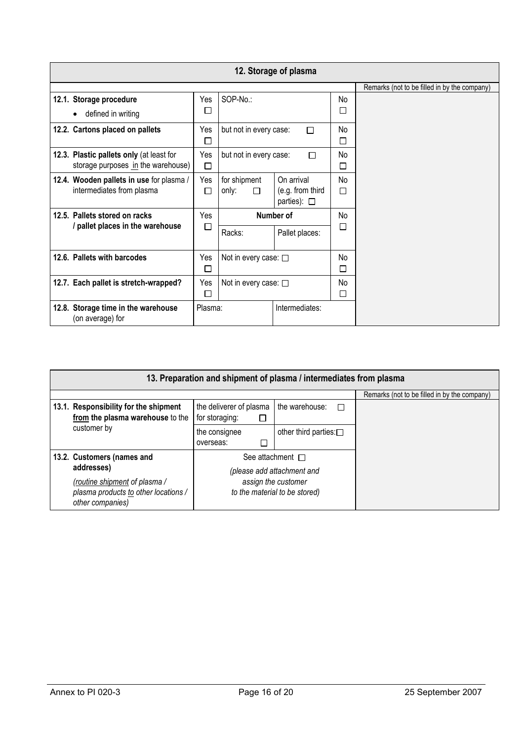|                                                                                | 12. Storage of plasma                           |                              |                                                    |              |                                              |  |  |  |  |  |
|--------------------------------------------------------------------------------|-------------------------------------------------|------------------------------|----------------------------------------------------|--------------|----------------------------------------------|--|--|--|--|--|
|                                                                                |                                                 |                              |                                                    |              | Remarks (not to be filled in by the company) |  |  |  |  |  |
| 12.1. Storage procedure<br>defined in writing<br>$\bullet$                     | Yes<br>П                                        | SOP-No.:                     |                                                    | No<br>□      |                                              |  |  |  |  |  |
| 12.2. Cartons placed on pallets                                                | Yes<br>П                                        | but not in every case:       | П                                                  | No.<br>П     |                                              |  |  |  |  |  |
| 12.3. Plastic pallets only (at least for<br>storage purposes in the warehouse) | Yes<br>□                                        | but not in every case:       | П                                                  | No<br>$\Box$ |                                              |  |  |  |  |  |
| 12.4. Wooden pallets in use for plasma /<br>intermediates from plasma          | Yes<br>П                                        | for shipment<br>only:<br>П   | On arrival<br>(e.g. from third<br>parties): $\Box$ | No<br>□      |                                              |  |  |  |  |  |
| 12.5. Pallets stored on racks                                                  | Yes                                             |                              | Number of                                          |              |                                              |  |  |  |  |  |
|                                                                                | / pallet places in the warehouse<br>□<br>Racks: |                              | Pallet places:                                     | □            |                                              |  |  |  |  |  |
| 12.6. Pallets with barcodes                                                    | Yes<br>□                                        | Not in every case: $\square$ |                                                    | No<br>$\Box$ |                                              |  |  |  |  |  |
| 12.7. Each pallet is stretch-wrapped?                                          | Yes<br>□                                        | Not in every case: $\square$ |                                                    | No<br>□      |                                              |  |  |  |  |  |
| 12.8. Storage time in the warehouse<br>(on average) for                        | Plasma:                                         |                              | Intermediates:                                     |              |                                              |  |  |  |  |  |

|  | 13. Preparation and shipment of plasma / intermediates from plasma                                      |                                                     |                                                                                    |                                              |  |  |  |  |  |  |  |  |
|--|---------------------------------------------------------------------------------------------------------|-----------------------------------------------------|------------------------------------------------------------------------------------|----------------------------------------------|--|--|--|--|--|--|--|--|
|  |                                                                                                         |                                                     |                                                                                    | Remarks (not to be filled in by the company) |  |  |  |  |  |  |  |  |
|  | 13.1. Responsibility for the shipment<br>from the plasma warehouse to the                               | the deliverer of plasma<br>for storaging:<br>$\Box$ | the warehouse:<br>$\Box$                                                           |                                              |  |  |  |  |  |  |  |  |
|  | customer by                                                                                             | the consignee<br>overseas:                          | other third parties: $\square$                                                     |                                              |  |  |  |  |  |  |  |  |
|  | 13.2. Customers (names and                                                                              |                                                     | See attachment $\Box$                                                              |                                              |  |  |  |  |  |  |  |  |
|  | addresses)<br>(routine shipment of plasma /<br>plasma products to other locations /<br>other companies) |                                                     | (please add attachment and<br>assign the customer<br>to the material to be stored) |                                              |  |  |  |  |  |  |  |  |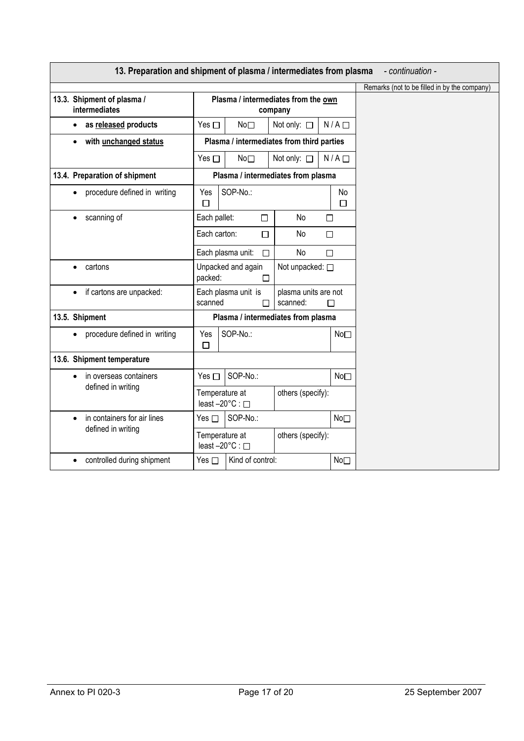|                                             | 13. Preparation and shipment of plasma / intermediates from plasma |                                                | - continuation -                             |
|---------------------------------------------|--------------------------------------------------------------------|------------------------------------------------|----------------------------------------------|
|                                             |                                                                    |                                                | Remarks (not to be filled in by the company) |
| 13.3. Shipment of plasma /<br>intermediates |                                                                    | Plasma / intermediates from the own<br>company |                                              |
| as released products<br>$\bullet$           | Yes $\square$<br>No <sub>1</sub>                                   | N/A<br>Not only: □                             |                                              |
| with unchanged status<br>$\bullet$          |                                                                    | Plasma / intermediates from third parties      |                                              |
|                                             | Yes $\Box$<br>No <sub>1</sub>                                      | Not only: $\square$<br>$N/A$ $\Box$            |                                              |
| 13.4. Preparation of shipment               |                                                                    | Plasma / intermediates from plasma             |                                              |
| procedure defined in writing<br>$\bullet$   | SOP-No.:<br>Yes<br>□                                               | No<br>$\Box$                                   |                                              |
| scanning of<br>$\bullet$                    | Each pallet:<br>$\Box$                                             | No<br>□                                        |                                              |
|                                             | Each carton:<br>$\Box$                                             | No<br>$\Box$                                   |                                              |
|                                             | Each plasma unit:<br>П                                             | No<br>□                                        |                                              |
| cartons                                     | Unpacked and again<br>packed:<br>□                                 | Not unpacked: □                                |                                              |
| if cartons are unpacked:<br>$\bullet$       | Each plasma unit is<br>scanned<br>П                                | plasma units are not<br>scanned:<br>П          |                                              |
| 13.5. Shipment                              |                                                                    | Plasma / intermediates from plasma             |                                              |
| procedure defined in writing                | SOP-No.:<br>Yes<br>□                                               | No <sub>1</sub>                                |                                              |
| 13.6. Shipment temperature                  |                                                                    |                                                |                                              |
| in overseas containers<br>$\bullet$         | SOP-No.:<br>Yes $\square$                                          | No <sub>1</sub>                                |                                              |
| defined in writing                          | Temperature at<br>least -20°C : □                                  | others (specify):                              |                                              |
| in containers for air lines<br>$\bullet$    | SOP-No.:<br>Yes $\square$                                          | No <sub>1</sub>                                |                                              |
| defined in writing                          | Temperature at<br>least -20°C : □                                  | others (specify):                              |                                              |
| controlled during shipment<br>$\bullet$     | Kind of control:<br>Yes $\square$                                  | No <sub>1</sub>                                |                                              |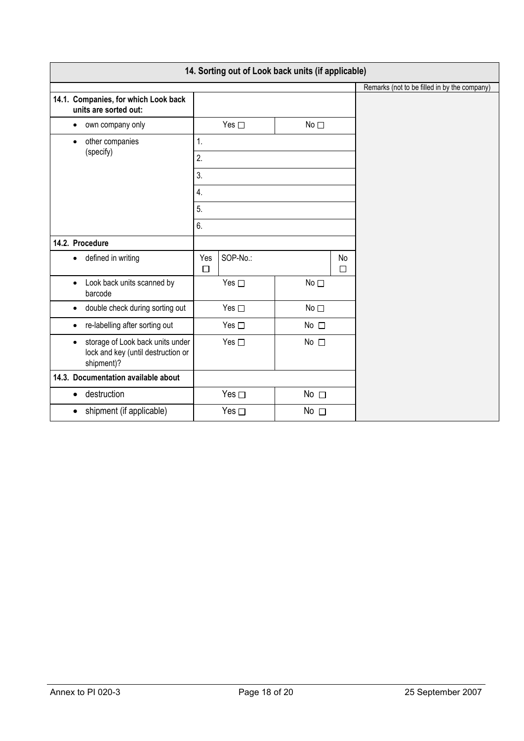| 14. Sorting out of Look back units (if applicable)                                                |               |                            |                 |         |                                              |  |  |  |  |
|---------------------------------------------------------------------------------------------------|---------------|----------------------------|-----------------|---------|----------------------------------------------|--|--|--|--|
|                                                                                                   |               |                            |                 |         | Remarks (not to be filled in by the company) |  |  |  |  |
| 14.1. Companies, for which Look back<br>units are sorted out:                                     |               |                            |                 |         |                                              |  |  |  |  |
| own company only<br>$\bullet$                                                                     |               | Yes $\square$              | No <sub>1</sub> |         |                                              |  |  |  |  |
| other companies<br>$\bullet$<br>(specify)                                                         | 1.            |                            |                 |         |                                              |  |  |  |  |
|                                                                                                   | 2.            |                            |                 |         |                                              |  |  |  |  |
|                                                                                                   | 3.            |                            |                 |         |                                              |  |  |  |  |
|                                                                                                   | 4.            |                            |                 |         |                                              |  |  |  |  |
|                                                                                                   | 5.            |                            |                 |         |                                              |  |  |  |  |
|                                                                                                   | 6.            |                            |                 |         |                                              |  |  |  |  |
| 14.2. Procedure                                                                                   |               |                            |                 |         |                                              |  |  |  |  |
| defined in writing<br>$\bullet$                                                                   | Yes<br>$\Box$ | SOP-No.:                   |                 | No<br>□ |                                              |  |  |  |  |
| Look back units scanned by<br>$\bullet$<br>barcode                                                |               | Yes $\square$              | No <sub>1</sub> |         |                                              |  |  |  |  |
| double check during sorting out<br>$\bullet$                                                      |               | Yes $\square$              | $No \square$    |         |                                              |  |  |  |  |
| re-labelling after sorting out<br>$\bullet$                                                       |               | Yes $\square$              | No $\square$    |         |                                              |  |  |  |  |
| storage of Look back units under<br>$\bullet$<br>lock and key (until destruction or<br>shipment)? |               | Yes $\square$              | No $\square$    |         |                                              |  |  |  |  |
| 14.3. Documentation available about                                                               |               |                            |                 |         |                                              |  |  |  |  |
| destruction<br>$\bullet$                                                                          |               | Yes $\Box$<br>No $\square$ |                 |         |                                              |  |  |  |  |
| shipment (if applicable)<br>$\bullet$                                                             |               | Yes $\Box$                 | No $\square$    |         |                                              |  |  |  |  |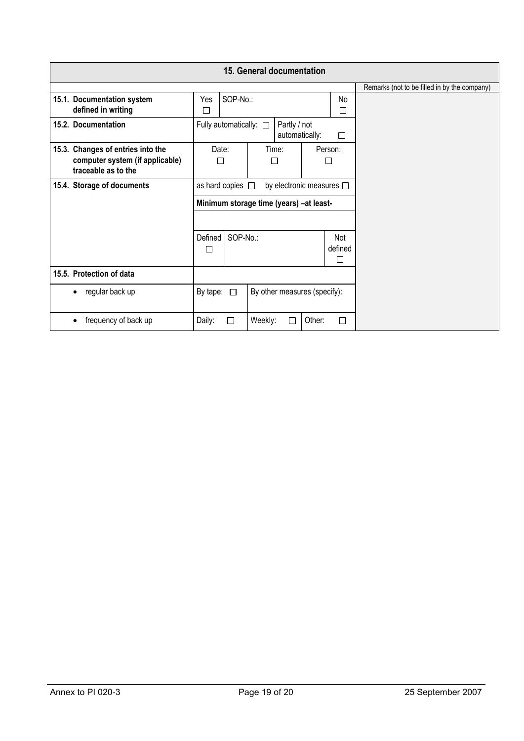| 15. General documentation |                                                                                             |                                                                  |   |         |            |              |   |                                              |
|---------------------------|---------------------------------------------------------------------------------------------|------------------------------------------------------------------|---|---------|------------|--------------|---|----------------------------------------------|
|                           |                                                                                             |                                                                  |   |         |            |              |   | Remarks (not to be filled in by the company) |
|                           | 15.1. Documentation system<br>defined in writing                                            | SOP-No.:<br>Yes<br>No<br>□<br>П                                  |   |         |            |              |   |                                              |
|                           | 15.2. Documentation                                                                         | Fully automatically: $\square$<br>Partly / not<br>automatically: |   |         |            | $\Box$       |   |                                              |
|                           | 15.3. Changes of entries into the<br>computer system (if applicable)<br>traceable as to the | Date:<br>П                                                       |   |         | Time:<br>П | Person:<br>□ |   |                                              |
|                           | 15.4. Storage of documents                                                                  | as hard copies $\Box$<br>by electronic measures $\square$        |   |         |            |              |   |                                              |
|                           |                                                                                             | Minimum storage time (years) -at least-                          |   |         |            |              |   |                                              |
|                           |                                                                                             | SOP-No.:<br>Defined<br>Not<br>defined<br>П<br>П                  |   |         |            |              |   |                                              |
|                           | 15.5. Protection of data                                                                    |                                                                  |   |         |            |              |   |                                              |
| $\bullet$                 | regular back up                                                                             | By other measures (specify):<br>By tape: $\Box$                  |   |         |            |              |   |                                              |
| $\bullet$                 | frequency of back up                                                                        | Daily:                                                           | □ | Weekly: | П          | Other:       | П |                                              |